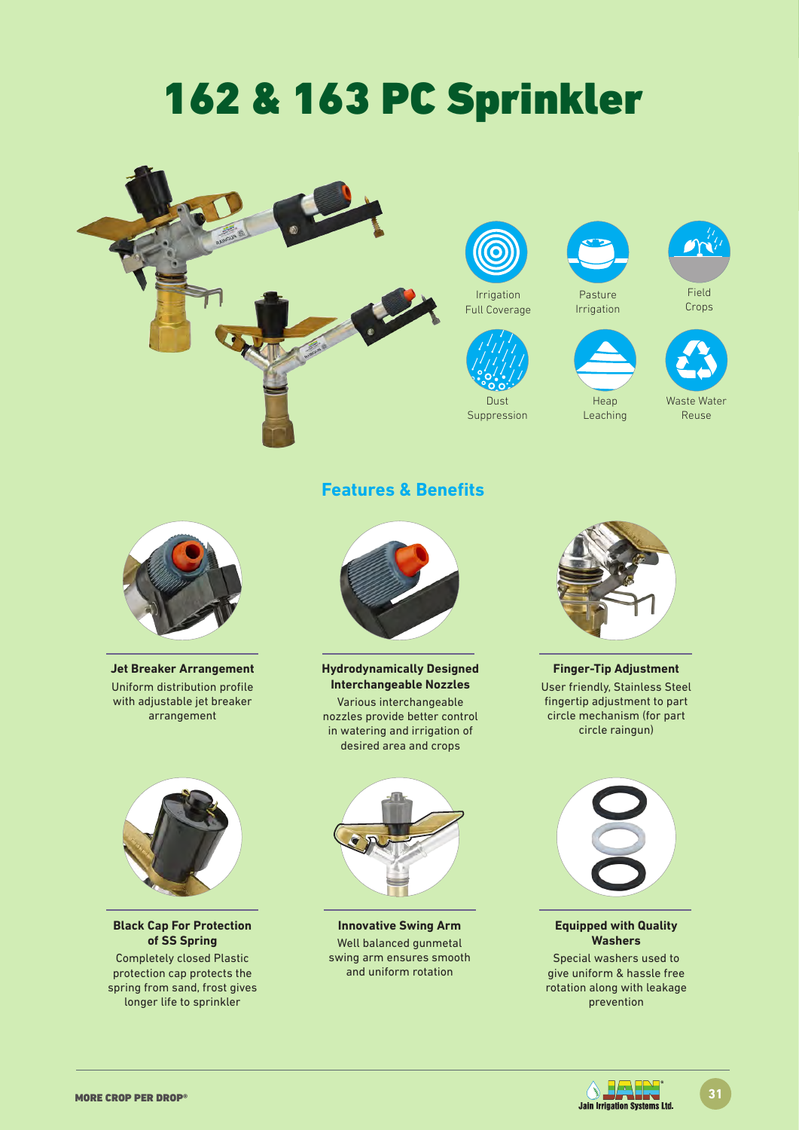# 162 & 163 PC Sprinkler









Suppression



Heap Leaching



Field Crops

| $\overline{M}$<br>$\Lambda L$ |
|-------------------------------|

Waste Water Reuse



**Jet Breaker Arrangement** Uniform distribution profile with adjustable jet breaker arrangement



**Black Cap For Protection of SS Spring**

Completely closed Plastic protection cap protects the spring from sand, frost gives longer life to sprinkler

## **Features & Benefits**



**Hydrodynamically Designed Interchangeable Nozzles**

Various interchangeable nozzles provide better control in watering and irrigation of desired area and crops

**Innovative Swing Arm**  Well balanced gunmetal swing arm ensures smooth and uniform rotation



**Finger-Tip Adjustment** User friendly, Stainless Steel fingertip adjustment to part circle mechanism (for part circle raingun)



#### **Equipped with Quality Washers**

Special washers used to give uniform & hassle free rotation along with leakage prevention